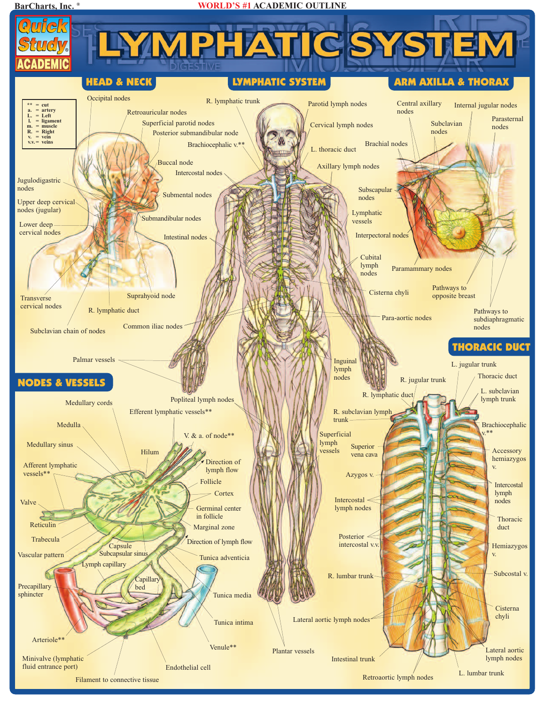